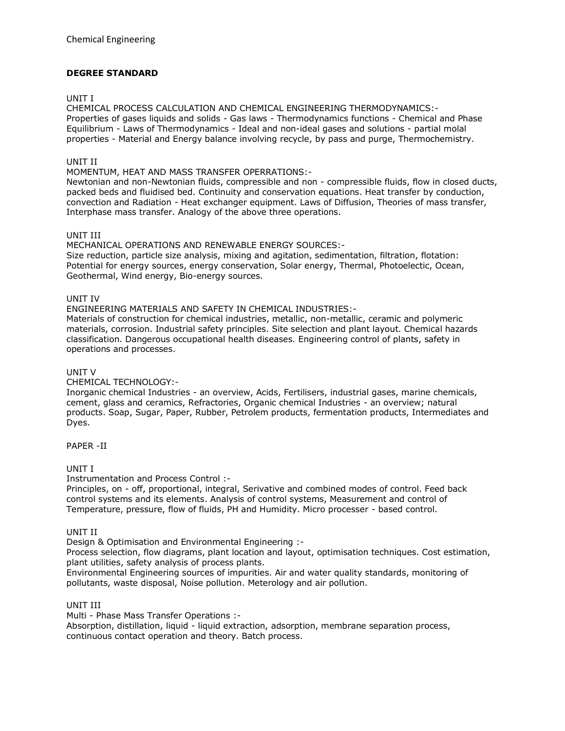# **DEGREE STANDARD**

## UNIT I

CHEMICAL PROCESS CALCULATION AND CHEMICAL ENGINEERING THERMODYNAMICS:- Properties of gases liquids and solids - Gas laws - Thermodynamics functions - Chemical and Phase Equilibrium - Laws of Thermodynamics - Ideal and non-ideal gases and solutions - partial molal properties - Material and Energy balance involving recycle, by pass and purge, Thermochemistry.

## UNIT II

MOMENTUM, HEAT AND MASS TRANSFER OPERRATIONS:-

Newtonian and non-Newtonian fluids, compressible and non - compressible fluids, flow in closed ducts, packed beds and fluidised bed. Continuity and conservation equations. Heat transfer by conduction, convection and Radiation - Heat exchanger equipment. Laws of Diffusion, Theories of mass transfer, Interphase mass transfer. Analogy of the above three operations.

## UNIT III

MECHANICAL OPERATIONS AND RENEWABLE ENERGY SOURCES:- Size reduction, particle size analysis, mixing and agitation, sedimentation, filtration, flotation: Potential for energy sources, energy conservation, Solar energy, Thermal, Photoelectic, Ocean, Geothermal, Wind energy, Bio-energy sources.

## UNIT IV

ENGINEERING MATERIALS AND SAFETY IN CHEMICAL INDUSTRIES:-

Materials of construction for chemical industries, metallic, non-metallic, ceramic and polymeric materials, corrosion. Industrial safety principles. Site selection and plant layout. Chemical hazards classification. Dangerous occupational health diseases. Engineering control of plants, safety in operations and processes.

# UNIT V

CHEMICAL TECHNOLOGY:-

Inorganic chemical Industries - an overview, Acids, Fertilisers, industrial gases, marine chemicals, cement, glass and ceramics, Refractories, Organic chemical Industries - an overview; natural products. Soap, Sugar, Paper, Rubber, Petrolem products, fermentation products, Intermediates and Dyes.

PAPER -II

# UNIT I

Instrumentation and Process Control :-

Principles, on - off, proportional, integral, Serivative and combined modes of control. Feed back control systems and its elements. Analysis of control systems, Measurement and control of Temperature, pressure, flow of fluids, PH and Humidity. Micro processer - based control.

#### UNIT II

Design & Optimisation and Environmental Engineering :-

Process selection, flow diagrams, plant location and layout, optimisation techniques. Cost estimation, plant utilities, safety analysis of process plants.

Environmental Engineering sources of impurities. Air and water quality standards, monitoring of pollutants, waste disposal, Noise pollution. Meterology and air pollution.

#### UNIT III

Multi - Phase Mass Transfer Operations :-

Absorption, distillation, liquid - liquid extraction, adsorption, membrane separation process, continuous contact operation and theory. Batch process.